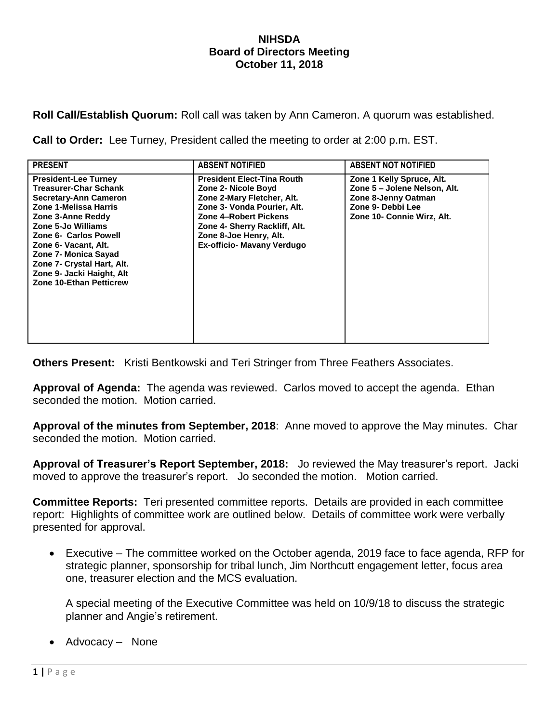## **NIHSDA Board of Directors Meeting October 11, 2018**

**Roll Call/Establish Quorum:** Roll call was taken by Ann Cameron. A quorum was established.

**Call to Order:** Lee Turney, President called the meeting to order at 2:00 p.m. EST.

| <b>PRESENT</b>                                                                                                                                                                                                                                                                                                                        | <b>ABSENT NOTIFIED</b>                                                                                                                                                                                                                  | <b>ABSENT NOT NOTIFIED</b>                                                                                                          |
|---------------------------------------------------------------------------------------------------------------------------------------------------------------------------------------------------------------------------------------------------------------------------------------------------------------------------------------|-----------------------------------------------------------------------------------------------------------------------------------------------------------------------------------------------------------------------------------------|-------------------------------------------------------------------------------------------------------------------------------------|
| <b>President-Lee Turney</b><br><b>Treasurer-Char Schank</b><br><b>Secretary-Ann Cameron</b><br>Zone 1-Melissa Harris<br>Zone 3-Anne Reddy<br>Zone 5-Jo Williams<br>Zone 6- Carlos Powell<br>Zone 6- Vacant, Alt.<br>Zone 7- Monica Sayad<br>Zone 7- Crystal Hart, Alt.<br>Zone 9- Jacki Haight, Alt<br><b>Zone 10-Ethan Petticrew</b> | <b>President Elect-Tina Routh</b><br>Zone 2- Nicole Boyd<br>Zone 2-Mary Fletcher, Alt.<br>Zone 3- Vonda Pourier, Alt.<br>Zone 4-Robert Pickens<br>Zone 4- Sherry Rackliff, Alt.<br>Zone 8-Joe Henry, Alt.<br>Ex-officio- Mavany Verdugo | Zone 1 Kelly Spruce, Alt.<br>Zone 5 – Jolene Nelson, Alt.<br>Zone 8-Jenny Oatman<br>Zone 9- Debbi Lee<br>Zone 10- Connie Wirz, Alt. |

**Others Present:** Kristi Bentkowski and Teri Stringer from Three Feathers Associates.

**Approval of Agenda:** The agenda was reviewed. Carlos moved to accept the agenda. Ethan seconded the motion. Motion carried.

**Approval of the minutes from September, 2018**: Anne moved to approve the May minutes. Char seconded the motion. Motion carried.

**Approval of Treasurer's Report September, 2018:** Jo reviewed the May treasurer's report. Jacki moved to approve the treasurer's report. Jo seconded the motion. Motion carried.

**Committee Reports:** Teri presented committee reports. Details are provided in each committee report: Highlights of committee work are outlined below. Details of committee work were verbally presented for approval.

 Executive – The committee worked on the October agenda, 2019 face to face agenda, RFP for strategic planner, sponsorship for tribal lunch, Jim Northcutt engagement letter, focus area one, treasurer election and the MCS evaluation.

A special meeting of the Executive Committee was held on 10/9/18 to discuss the strategic planner and Angie's retirement.

Advocacy – None